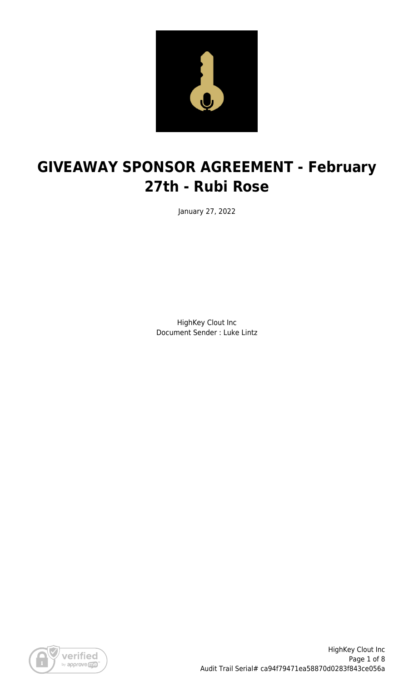

# **GIVEAWAY SPONSOR AGREEMENT - February 27th - Rubi Rose**

January 27, 2022

HighKey Clout Inc Document Sender : Luke Lintz

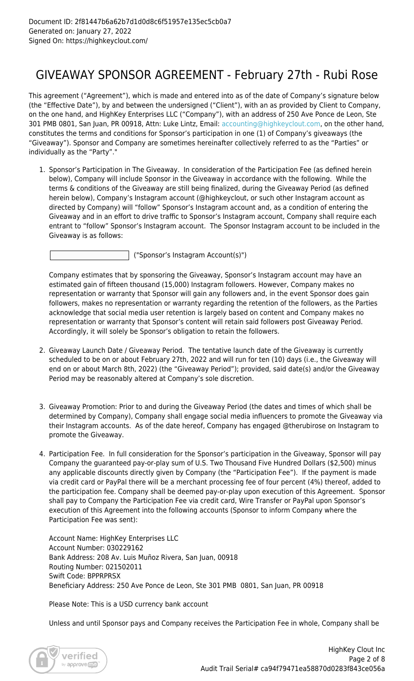### GIVEAWAY SPONSOR AGREEMENT - February 27th - Rubi Rose

This agreement ("Agreement"), which is made and entered into as of the date of Company's signature below (the "Effective Date"), by and between the undersigned ("Client"), with an as provided by Client to Company, on the one hand, and HighKey Enterprises LLC ("Company"), with an address of 250 Ave Ponce de Leon, Ste 301 PMB 0801, San Juan, PR 00918, Attn: Luke Lintz, Email: [accounting@highkeyclout.com,](mailto:accounting@highkeyclout.com) on the other hand, constitutes the terms and conditions for Sponsor's participation in one (1) of Company's giveaways (the "Giveaway"). Sponsor and Company are sometimes hereinafter collectively referred to as the "Parties" or individually as the "Party"."

1. Sponsor's Participation in The Giveaway. In consideration of the Participation Fee (as defined herein below), Company will include Sponsor in the Giveaway in accordance with the following. While the terms & conditions of the Giveaway are still being finalized, during the Giveaway Period (as defined herein below), Company's Instagram account (@highkeyclout, or such other Instagram account as directed by Company) will "follow" Sponsor's Instagram account and, as a condition of entering the Giveaway and in an effort to drive traffic to Sponsor's Instagram account, Company shall require each entrant to "follow" Sponsor's Instagram account. The Sponsor Instagram account to be included in the Giveaway is as follows:

("Sponsor's Instagram Account(s)")

Company estimates that by sponsoring the Giveaway, Sponsor's Instagram account may have an estimated gain of fifteen thousand (15,000) Instagram followers. However, Company makes no representation or warranty that Sponsor will gain any followers and, in the event Sponsor does gain followers, makes no representation or warranty regarding the retention of the followers, as the Parties acknowledge that social media user retention is largely based on content and Company makes no representation or warranty that Sponsor's content will retain said followers post Giveaway Period. Accordingly, it will solely be Sponsor's obligation to retain the followers.

- 2. Giveaway Launch Date / Giveaway Period. The tentative launch date of the Giveaway is currently scheduled to be on or about February 27th, 2022 and will run for ten (10) days (i.e., the Giveaway will end on or about March 8th, 2022) (the "Giveaway Period"); provided, said date(s) and/or the Giveaway Period may be reasonably altered at Company's sole discretion.
- 3. Giveaway Promotion: Prior to and during the Giveaway Period (the dates and times of which shall be determined by Company), Company shall engage social media influencers to promote the Giveaway via their Instagram accounts. As of the date hereof, Company has engaged @therubirose on Instagram to promote the Giveaway.
- 4. Participation Fee. In full consideration for the Sponsor's participation in the Giveaway, Sponsor will pay Company the guaranteed pay-or-play sum of U.S. Two Thousand Five Hundred Dollars (\$2,500) minus any applicable discounts directly given by Company (the "Participation Fee"). If the payment is made via credit card or PayPal there will be a merchant processing fee of four percent (4%) thereof, added to the participation fee. Company shall be deemed pay-or-play upon execution of this Agreement. Sponsor shall pay to Company the Participation Fee via credit card, Wire Transfer or PayPal upon Sponsor's execution of this Agreement into the following accounts (Sponsor to inform Company where the Participation Fee was sent):

Account Name: HighKey Enterprises LLC Account Number: 030229162 Bank Address: 208 Av. Luis Muñoz Rivera, San Juan, 00918 Routing Number: 021502011 Swift Code: BPPRPRSX Beneficiary Address: 250 Ave Ponce de Leon, Ste 301 PMB 0801, San Juan, PR 00918

Please Note: This is a USD currency bank account

Unless and until Sponsor pays and Company receives the Participation Fee in whole, Company shall be

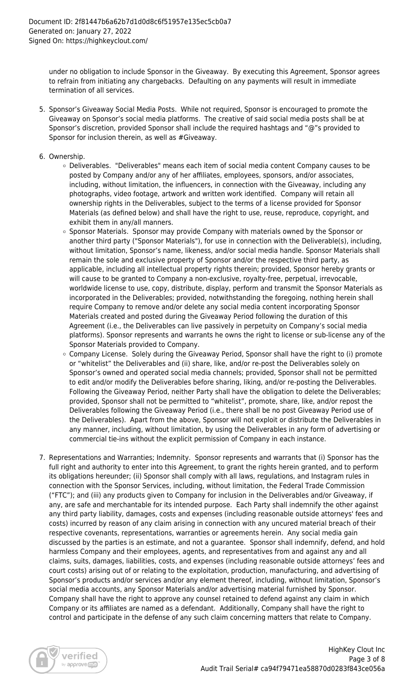under no obligation to include Sponsor in the Giveaway. By executing this Agreement, Sponsor agrees to refrain from initiating any chargebacks. Defaulting on any payments will result in immediate termination of all services.

- 5. Sponsor's Giveaway Social Media Posts. While not required, Sponsor is encouraged to promote the Giveaway on Sponsor's social media platforms. The creative of said social media posts shall be at Sponsor's discretion, provided Sponsor shall include the required hashtags and "@"s provided to Sponsor for inclusion therein, as well as #Giveaway.
- 6. Ownership.
	- Deliverables. "Deliverables" means each item of social media content Company causes to be posted by Company and/or any of her affiliates, employees, sponsors, and/or associates, including, without limitation, the influencers, in connection with the Giveaway, including any photographs, video footage, artwork and written work identified. Company will retain all ownership rights in the Deliverables, subject to the terms of a license provided for Sponsor Materials (as defined below) and shall have the right to use, reuse, reproduce, copyright, and exhibit them in any/all manners.
	- Sponsor Materials. Sponsor may provide Company with materials owned by the Sponsor or another third party ("Sponsor Materials"), for use in connection with the Deliverable(s), including, without limitation, Sponsor's name, likeness, and/or social media handle. Sponsor Materials shall remain the sole and exclusive property of Sponsor and/or the respective third party, as applicable, including all intellectual property rights therein; provided, Sponsor hereby grants or will cause to be granted to Company a non-exclusive, royalty-free, perpetual, irrevocable, worldwide license to use, copy, distribute, display, perform and transmit the Sponsor Materials as incorporated in the Deliverables; provided, notwithstanding the foregoing, nothing herein shall require Company to remove and/or delete any social media content incorporating Sponsor Materials created and posted during the Giveaway Period following the duration of this Agreement (i.e., the Deliverables can live passively in perpetuity on Company's social media platforms). Sponsor represents and warrants he owns the right to license or sub-license any of the Sponsor Materials provided to Company.
	- $\circ$  Company License. Solely during the Giveaway Period, Sponsor shall have the right to (i) promote or "whitelist" the Deliverables and (ii) share, like, and/or re-post the Deliverables solely on Sponsor's owned and operated social media channels; provided, Sponsor shall not be permitted to edit and/or modify the Deliverables before sharing, liking, and/or re-posting the Deliverables. Following the Giveaway Period, neither Party shall have the obligation to delete the Deliverables; provided, Sponsor shall not be permitted to "whitelist", promote, share, like, and/or repost the Deliverables following the Giveaway Period (i.e., there shall be no post Giveaway Period use of the Deliverables). Apart from the above, Sponsor will not exploit or distribute the Deliverables in any manner, including, without limitation, by using the Deliverables in any form of advertising or commercial tie-ins without the explicit permission of Company in each instance.
- 7. Representations and Warranties; Indemnity. Sponsor represents and warrants that (i) Sponsor has the full right and authority to enter into this Agreement, to grant the rights herein granted, and to perform its obligations hereunder; (ii) Sponsor shall comply with all laws, regulations, and Instagram rules in connection with the Sponsor Services, including, without limitation, the Federal Trade Commission ("FTC"); and (iii) any products given to Company for inclusion in the Deliverables and/or Giveaway, if any, are safe and merchantable for its intended purpose. Each Party shall indemnify the other against any third party liability, damages, costs and expenses (including reasonable outside attorneys' fees and costs) incurred by reason of any claim arising in connection with any uncured material breach of their respective covenants, representations, warranties or agreements herein. Any social media gain discussed by the parties is an estimate, and not a guarantee. Sponsor shall indemnify, defend, and hold harmless Company and their employees, agents, and representatives from and against any and all claims, suits, damages, liabilities, costs, and expenses (including reasonable outside attorneys' fees and court costs) arising out of or relating to the exploitation, production, manufacturing, and advertising of Sponsor's products and/or services and/or any element thereof, including, without limitation, Sponsor's social media accounts, any Sponsor Materials and/or advertising material furnished by Sponsor. Company shall have the right to approve any counsel retained to defend against any claim in which Company or its affiliates are named as a defendant. Additionally, Company shall have the right to control and participate in the defense of any such claim concerning matters that relate to Company.

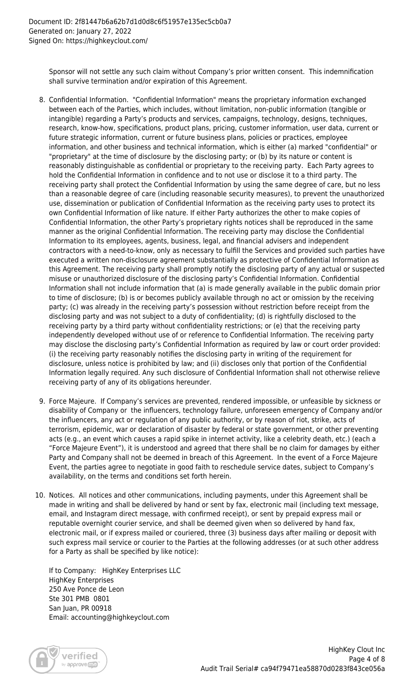Sponsor will not settle any such claim without Company's prior written consent. This indemnification shall survive termination and/or expiration of this Agreement.

- 8. Confidential Information. "Confidential Information" means the proprietary information exchanged between each of the Parties, which includes, without limitation, non-public information (tangible or intangible) regarding a Party's products and services, campaigns, technology, designs, techniques, research, know-how, specifications, product plans, pricing, customer information, user data, current or future strategic information, current or future business plans, policies or practices, employee information, and other business and technical information, which is either (a) marked "confidential" or "proprietary" at the time of disclosure by the disclosing party; or (b) by its nature or content is reasonably distinguishable as confidential or proprietary to the receiving party. Each Party agrees to hold the Confidential Information in confidence and to not use or disclose it to a third party. The receiving party shall protect the Confidential Information by using the same degree of care, but no less than a reasonable degree of care (including reasonable security measures), to prevent the unauthorized use, dissemination or publication of Confidential Information as the receiving party uses to protect its own Confidential Information of like nature. If either Party authorizes the other to make copies of Confidential Information, the other Party's proprietary rights notices shall be reproduced in the same manner as the original Confidential Information. The receiving party may disclose the Confidential Information to its employees, agents, business, legal, and financial advisers and independent contractors with a need-to-know, only as necessary to fulfill the Services and provided such parties have executed a written non-disclosure agreement substantially as protective of Confidential Information as this Agreement. The receiving party shall promptly notify the disclosing party of any actual or suspected misuse or unauthorized disclosure of the disclosing party's Confidential Information. Confidential Information shall not include information that (a) is made generally available in the public domain prior to time of disclosure; (b) is or becomes publicly available through no act or omission by the receiving party; (c) was already in the receiving party's possession without restriction before receipt from the disclosing party and was not subject to a duty of confidentiality; (d) is rightfully disclosed to the receiving party by a third party without confidentiality restrictions; or (e) that the receiving party independently developed without use of or reference to Confidential Information. The receiving party may disclose the disclosing party's Confidential Information as required by law or court order provided: (i) the receiving party reasonably notifies the disclosing party in writing of the requirement for disclosure, unless notice is prohibited by law; and (ii) discloses only that portion of the Confidential Information legally required. Any such disclosure of Confidential Information shall not otherwise relieve receiving party of any of its obligations hereunder.
- 9. Force Majeure. If Company's services are prevented, rendered impossible, or unfeasible by sickness or disability of Company or the influencers, technology failure, unforeseen emergency of Company and/or the influencers, any act or regulation of any public authority, or by reason of riot, strike, acts of terrorism, epidemic, war or declaration of disaster by federal or state government, or other preventing acts (e.g., an event which causes a rapid spike in internet activity, like a celebrity death, etc.) (each a "Force Majeure Event"), it is understood and agreed that there shall be no claim for damages by either Party and Company shall not be deemed in breach of this Agreement. In the event of a Force Majeure Event, the parties agree to negotiate in good faith to reschedule service dates, subject to Company's availability, on the terms and conditions set forth herein.
- 10. Notices. All notices and other communications, including payments, under this Agreement shall be made in writing and shall be delivered by hand or sent by fax, electronic mail (including text message, email, and Instagram direct message, with confirmed receipt), or sent by prepaid express mail or reputable overnight courier service, and shall be deemed given when so delivered by hand fax, electronic mail, or if express mailed or couriered, three (3) business days after mailing or deposit with such express mail service or courier to the Parties at the following addresses (or at such other address for a Party as shall be specified by like notice):

If to Company: HighKey Enterprises LLC HighKey Enterprises 250 Ave Ponce de Leon Ste 301 PMB 0801 San Juan, PR 00918 Email: accounting@highkeyclout.com

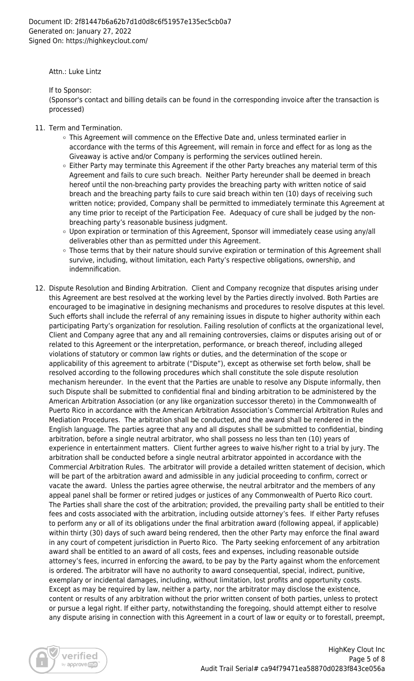Attn.: Luke Lintz

If to Sponsor:

(Sponsor's contact and billing details can be found in the corresponding invoice after the transaction is processed)

- 11. Term and Termination.
	- This Agreement will commence on the Effective Date and, unless terminated earlier in accordance with the terms of this Agreement, will remain in force and effect for as long as the Giveaway is active and/or Company is performing the services outlined herein.
	- $\circ$  Either Party may terminate this Agreement if the other Party breaches any material term of this Agreement and fails to cure such breach. Neither Party hereunder shall be deemed in breach hereof until the non-breaching party provides the breaching party with written notice of said breach and the breaching party fails to cure said breach within ten (10) days of receiving such written notice; provided, Company shall be permitted to immediately terminate this Agreement at any time prior to receipt of the Participation Fee. Adequacy of cure shall be judged by the nonbreaching party's reasonable business judgment.
	- Upon expiration or termination of this Agreement, Sponsor will immediately cease using any/all deliverables other than as permitted under this Agreement.
	- o Those terms that by their nature should survive expiration or termination of this Agreement shall survive, including, without limitation, each Party's respective obligations, ownership, and indemnification.
- 12. Dispute Resolution and Binding Arbitration. Client and Company recognize that disputes arising under this Agreement are best resolved at the working level by the Parties directly involved. Both Parties are encouraged to be imaginative in designing mechanisms and procedures to resolve disputes at this level. Such efforts shall include the referral of any remaining issues in dispute to higher authority within each participating Party's organization for resolution. Failing resolution of conflicts at the organizational level, Client and Company agree that any and all remaining controversies, claims or disputes arising out of or related to this Agreement or the interpretation, performance, or breach thereof, including alleged violations of statutory or common law rights or duties, and the determination of the scope or applicability of this agreement to arbitrate ("Dispute"), except as otherwise set forth below, shall be resolved according to the following procedures which shall constitute the sole dispute resolution mechanism hereunder. In the event that the Parties are unable to resolve any Dispute informally, then such Dispute shall be submitted to confidential final and binding arbitration to be administered by the American Arbitration Association (or any like organization successor thereto) in the Commonwealth of Puerto Rico in accordance with the American Arbitration Association's Commercial Arbitration Rules and Mediation Procedures. The arbitration shall be conducted, and the award shall be rendered in the English language. The parties agree that any and all disputes shall be submitted to confidential, binding arbitration, before a single neutral arbitrator, who shall possess no less than ten (10) years of experience in entertainment matters. Client further agrees to waive his/her right to a trial by jury. The arbitration shall be conducted before a single neutral arbitrator appointed in accordance with the Commercial Arbitration Rules. The arbitrator will provide a detailed written statement of decision, which will be part of the arbitration award and admissible in any judicial proceeding to confirm, correct or vacate the award. Unless the parties agree otherwise, the neutral arbitrator and the members of any appeal panel shall be former or retired judges or justices of any Commonwealth of Puerto Rico court. The Parties shall share the cost of the arbitration; provided, the prevailing party shall be entitled to their fees and costs associated with the arbitration, including outside attorney's fees. If either Party refuses to perform any or all of its obligations under the final arbitration award (following appeal, if applicable) within thirty (30) days of such award being rendered, then the other Party may enforce the final award in any court of competent jurisdiction in Puerto Rico. The Party seeking enforcement of any arbitration award shall be entitled to an award of all costs, fees and expenses, including reasonable outside attorney's fees, incurred in enforcing the award, to be pay by the Party against whom the enforcement is ordered. The arbitrator will have no authority to award consequential, special, indirect, punitive, exemplary or incidental damages, including, without limitation, lost profits and opportunity costs. Except as may be required by law, neither a party, nor the arbitrator may disclose the existence, content or results of any arbitration without the prior written consent of both parties, unless to protect or pursue a legal right. If either party, notwithstanding the foregoing, should attempt either to resolve any dispute arising in connection with this Agreement in a court of law or equity or to forestall, preempt,

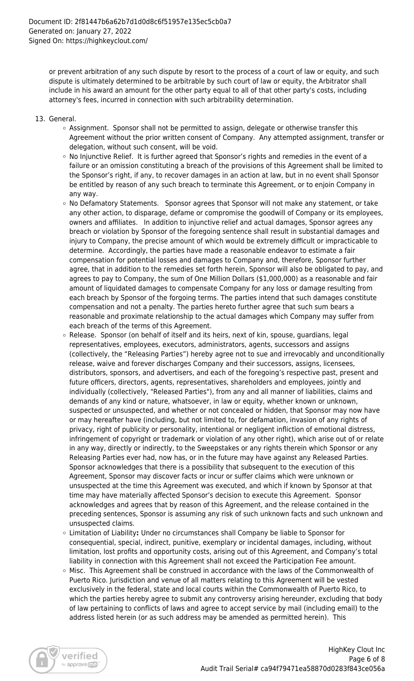or prevent arbitration of any such dispute by resort to the process of a court of law or equity, and such dispute is ultimately determined to be arbitrable by such court of law or equity, the Arbitrator shall include in his award an amount for the other party equal to all of that other party's costs, including attorney's fees, incurred in connection with such arbitrability determination.

- 13. General.
	- Assignment. Sponsor shall not be permitted to assign, delegate or otherwise transfer this Agreement without the prior written consent of Company. Any attempted assignment, transfer or delegation, without such consent, will be void.
	- $\circ$  No Injunctive Relief. It is further agreed that Sponsor's rights and remedies in the event of a failure or an omission constituting a breach of the provisions of this Agreement shall be limited to the Sponsor's right, if any, to recover damages in an action at law, but in no event shall Sponsor be entitled by reason of any such breach to terminate this Agreement, or to enjoin Company in any way.
	- o No Defamatory Statements. Sponsor agrees that Sponsor will not make any statement, or take any other action, to disparage, defame or compromise the goodwill of Company or its employees, owners and affiliates. In addition to injunctive relief and actual damages, Sponsor agrees any breach or violation by Sponsor of the foregoing sentence shall result in substantial damages and injury to Company, the precise amount of which would be extremely difficult or impracticable to determine. Accordingly, the parties have made a reasonable endeavor to estimate a fair compensation for potential losses and damages to Company and, therefore, Sponsor further agree, that in addition to the remedies set forth herein, Sponsor will also be obligated to pay, and agrees to pay to Company, the sum of One Million Dollars (\$1,000,000) as a reasonable and fair amount of liquidated damages to compensate Company for any loss or damage resulting from each breach by Sponsor of the forgoing terms. The parties intend that such damages constitute compensation and not a penalty. The parties hereto further agree that such sum bears a reasonable and proximate relationship to the actual damages which Company may suffer from each breach of the terms of this Agreement.
	- $\circ$  Release. Sponsor (on behalf of itself and its heirs, next of kin, spouse, guardians, legal representatives, employees, executors, administrators, agents, successors and assigns (collectively, the "Releasing Parties") hereby agree not to sue and irrevocably and unconditionally release, waive and forever discharges Company and their successors, assigns, licensees, distributors, sponsors, and advertisers, and each of the foregoing's respective past, present and future officers, directors, agents, representatives, shareholders and employees, jointly and individually (collectively, "Released Parties"), from any and all manner of liabilities, claims and demands of any kind or nature, whatsoever, in law or equity, whether known or unknown, suspected or unsuspected, and whether or not concealed or hidden, that Sponsor may now have or may hereafter have (including, but not limited to, for defamation, invasion of any rights of privacy, right of publicity or personality, intentional or negligent infliction of emotional distress, infringement of copyright or trademark or violation of any other right), which arise out of or relate in any way, directly or indirectly, to the Sweepstakes or any rights therein which Sponsor or any Releasing Parties ever had, now has, or in the future may have against any Released Parties. Sponsor acknowledges that there is a possibility that subsequent to the execution of this Agreement, Sponsor may discover facts or incur or suffer claims which were unknown or unsuspected at the time this Agreement was executed, and which if known by Sponsor at that time may have materially affected Sponsor's decision to execute this Agreement. Sponsor acknowledges and agrees that by reason of this Agreement, and the release contained in the preceding sentences, Sponsor is assuming any risk of such unknown facts and such unknown and unsuspected claims.
	- Limitation of Liability**:** Under no circumstances shall Company be liable to Sponsor for consequential, special, indirect, punitive, exemplary or incidental damages, including, without limitation, lost profits and opportunity costs, arising out of this Agreement, and Company's total liability in connection with this Agreement shall not exceed the Participation Fee amount.
	- Misc. This Agreement shall be construed in accordance with the laws of the Commonwealth of Puerto Rico. Jurisdiction and venue of all matters relating to this Agreement will be vested exclusively in the federal, state and local courts within the Commonwealth of Puerto Rico, to which the parties hereby agree to submit any controversy arising hereunder, excluding that body of law pertaining to conflicts of laws and agree to accept service by mail (including email) to the address listed herein (or as such address may be amended as permitted herein). This

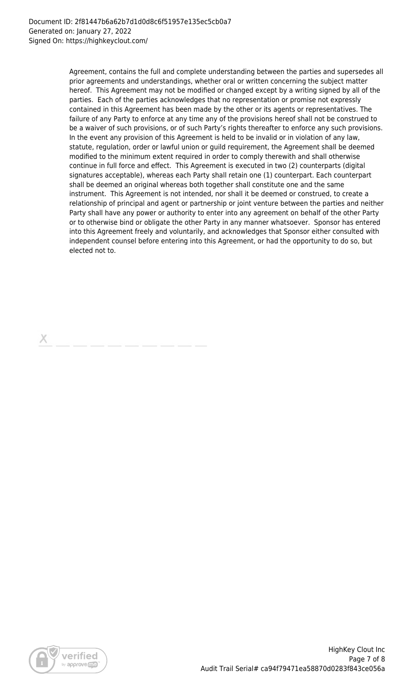Agreement, contains the full and complete understanding between the parties and supersedes all prior agreements and understandings, whether oral or written concerning the subject matter hereof. This Agreement may not be modified or changed except by a writing signed by all of the parties. Each of the parties acknowledges that no representation or promise not expressly contained in this Agreement has been made by the other or its agents or representatives. The failure of any Party to enforce at any time any of the provisions hereof shall not be construed to be a waiver of such provisions, or of such Party's rights thereafter to enforce any such provisions. In the event any provision of this Agreement is held to be invalid or in violation of any law, statute, regulation, order or lawful union or guild requirement, the Agreement shall be deemed modified to the minimum extent required in order to comply therewith and shall otherwise continue in full force and effect. This Agreement is executed in two (2) counterparts (digital signatures acceptable), whereas each Party shall retain one (1) counterpart. Each counterpart shall be deemed an original whereas both together shall constitute one and the same instrument. This Agreement is not intended, nor shall it be deemed or construed, to create a relationship of principal and agent or partnership or joint venture between the parties and neither Party shall have any power or authority to enter into any agreement on behalf of the other Party or to otherwise bind or obligate the other Party in any manner whatsoever. Sponsor has entered into this Agreement freely and voluntarily, and acknowledges that Sponsor either consulted with independent counsel before entering into this Agreement, or had the opportunity to do so, but elected not to.

х